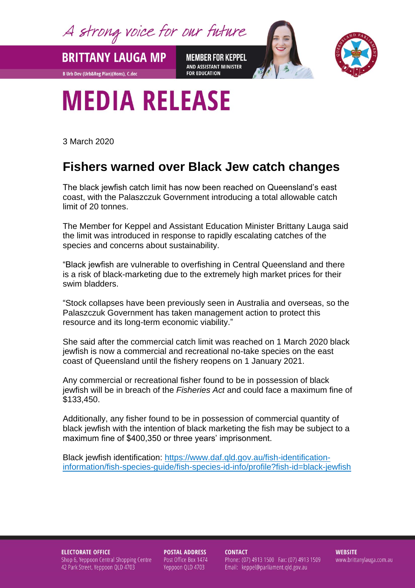A strong voice for our future

**BRITTANY LAUGA MP** 

**B Urb Dev (Urb&Reg Plan)(Hons), C.dec** 

**MEMBER FOR KEPPEL** AND ASSISTANT MINISTER **FOR EDUCATION** 



## **MEDIA RELEASE**

3 March 2020

## **Fishers warned over Black Jew catch changes**

The black jewfish catch limit has now been reached on Queensland's east coast, with the Palaszczuk Government introducing a total allowable catch limit of 20 tonnes.

The Member for Keppel and Assistant Education Minister Brittany Lauga said the limit was introduced in response to rapidly escalating catches of the species and concerns about sustainability.

"Black jewfish are vulnerable to overfishing in Central Queensland and there is a risk of black-marketing due to the extremely high market prices for their swim bladders.

"Stock collapses have been previously seen in Australia and overseas, so the Palaszczuk Government has taken management action to protect this resource and its long-term economic viability."

She said after the commercial catch limit was reached on 1 March 2020 black jewfish is now a commercial and recreational no-take species on the east coast of Queensland until the fishery reopens on 1 January 2021.

Any commercial or recreational fisher found to be in possession of black jewfish will be in breach of the *Fisheries Act* and could face a maximum fine of \$133,450.

Additionally, any fisher found to be in possession of commercial quantity of black jewfish with the intention of black marketing the fish may be subject to a maximum fine of \$400,350 or three years' imprisonment.

Black jewfish identification: [https://www.daf.qld.gov.au/fish-identification](https://www.daf.qld.gov.au/fish-identification-information/fish-species-guide/fish-species-id-info/profile?fish-id=black-jewfish)[information/fish-species-guide/fish-species-id-info/profile?fish-id=black-jewfish](https://www.daf.qld.gov.au/fish-identification-information/fish-species-guide/fish-species-id-info/profile?fish-id=black-jewfish)

**ELECTORATE OFFICE** Shop 6, Yeppoon Central Shopping Centre 42 Park Street, Yeppoon QLD 4703

**POSTAL ADDRESS** Post Office Box 1474 Yeppoon QLD 4703

**CONTACT** Phone: (07) 4913 1500 Fax: (07) 4913 1509 Email: keppel@parliament.qld.gov.au

**WEBSITE** www.brittanylauga.com.au